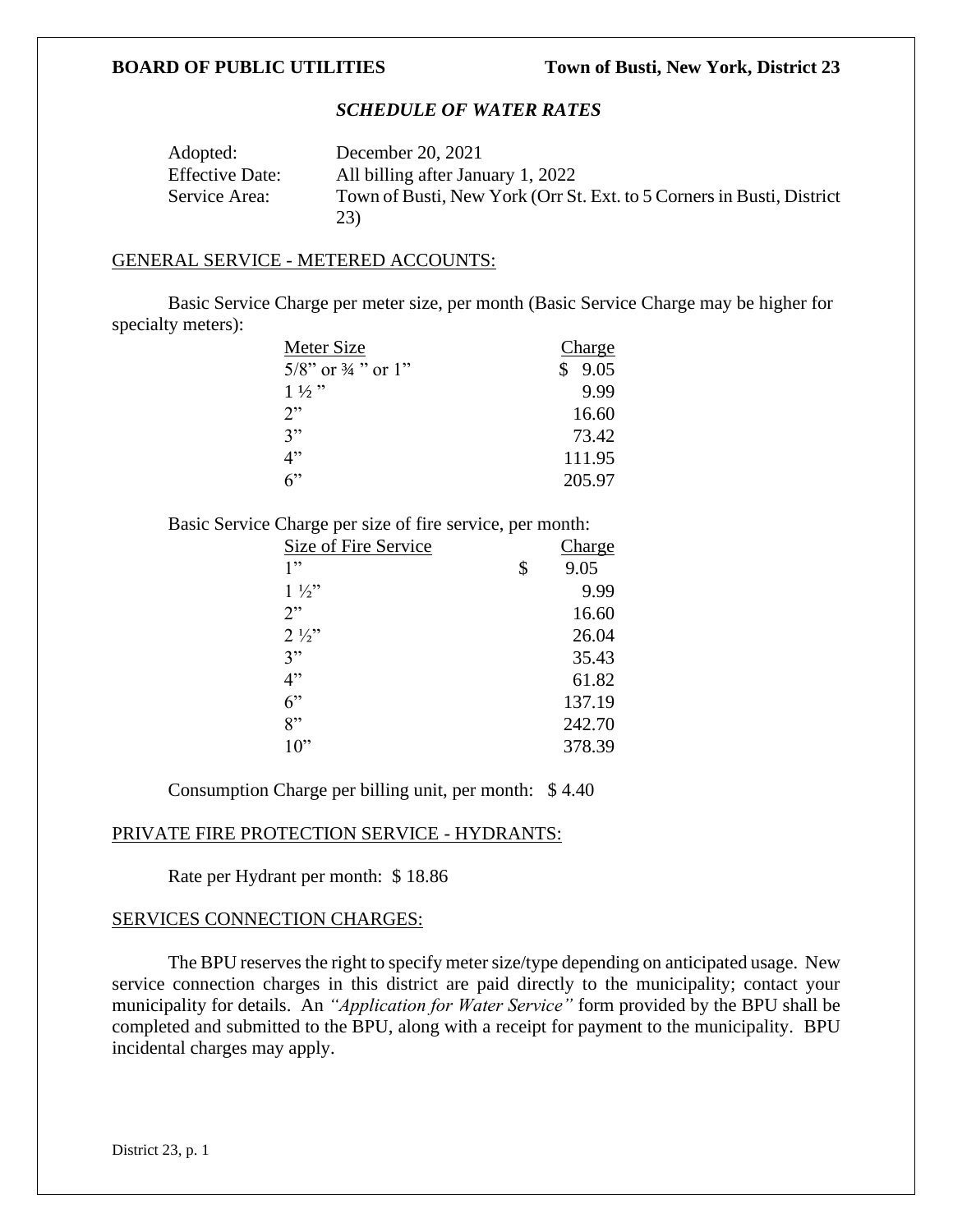## *SCHEDULE OF WATER RATES*

| Adopted:               | December 20, 2021                                                            |
|------------------------|------------------------------------------------------------------------------|
| <b>Effective Date:</b> | All billing after January 1, 2022                                            |
| Service Area:          | Town of Busti, New York (Orr St. Ext. to 5 Corners in Busti, District<br>23) |

### GENERAL SERVICE - METERED ACCOUNTS:

Basic Service Charge per meter size, per month (Basic Service Charge may be higher for specialty meters):

| Meter Size                       | Charge     |
|----------------------------------|------------|
| $5/8$ " or $\frac{3}{4}$ " or 1" | 9.05<br>\$ |
| $1\frac{1}{2}$                   | 9.99       |
| 2"                               | 16.60      |
| 3"                               | 73.42      |
| 4"                               | 111.95     |
| 6                                | 205.97     |

Basic Service Charge per size of fire service, per month:

| Size of Fire Service | Charge     |
|----------------------|------------|
| 1"                   | \$<br>9.05 |
| $1\frac{1}{2}$       | 9.99       |
| 2"                   | 16.60      |
| $2\frac{1}{2}$       | 26.04      |
| 3"                   | 35.43      |
| 4"                   | 61.82      |
| 6"                   | 137.19     |
| 8"                   | 242.70     |
| $10$ "               | 378.39     |

Consumption Charge per billing unit, per month: \$ 4.40

#### PRIVATE FIRE PROTECTION SERVICE - HYDRANTS:

Rate per Hydrant per month: \$ 18.86

# SERVICES CONNECTION CHARGES:

The BPU reserves the right to specify meter size/type depending on anticipated usage. New service connection charges in this district are paid directly to the municipality; contact your municipality for details. An *"Application for Water Service"* form provided by the BPU shall be completed and submitted to the BPU, along with a receipt for payment to the municipality. BPU incidental charges may apply.